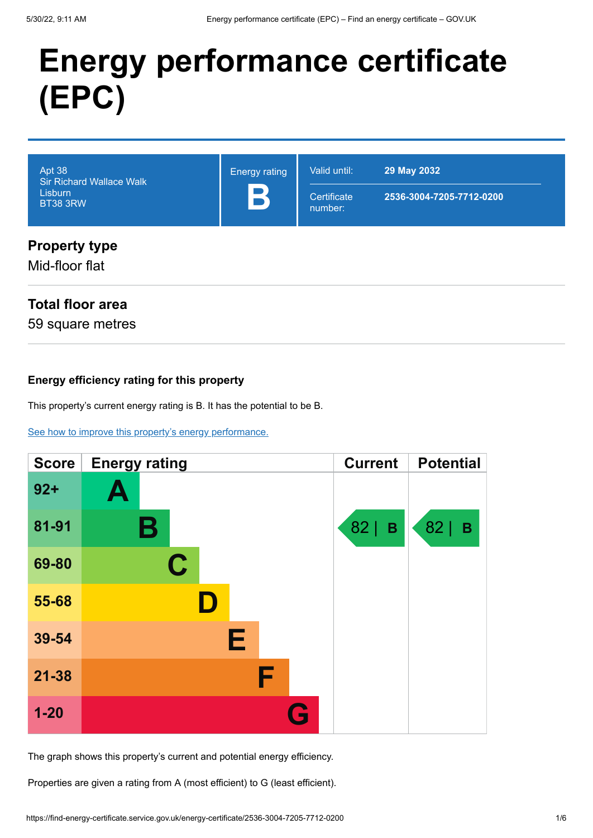# **Energy performance certificate (EPC)**

| Apt 38<br><b>Sir Richard Wallace Walk</b><br><b>Lisburn</b><br><b>BT38 3RW</b> | <b>Energy rating</b><br>B | Valid until:<br>Certificate<br>number: | 29 May 2032<br>2536-3004-7205-7712-0200 |
|--------------------------------------------------------------------------------|---------------------------|----------------------------------------|-----------------------------------------|
| <b>Property type</b>                                                           |                           |                                        |                                         |

## **Property type**

Mid-floor flat

### **Total floor area**

59 square metres

#### **Energy efficiency rating for this property**

This property's current energy rating is B. It has the potential to be B.

#### [See how to improve this property's energy performance.](#page-3-0)

| <b>Score</b> | <b>Energy rating</b> | <b>Current</b> | <b>Potential</b> |
|--------------|----------------------|----------------|------------------|
| $92 +$       | Ą                    |                |                  |
| 81-91        | В                    | $82$   B       | $82$   B         |
| 69-80        | $\mathbf C$          |                |                  |
| 55-68        |                      |                |                  |
| 39-54        | Е                    |                |                  |
| $21 - 38$    | F                    |                |                  |
| $1 - 20$     |                      |                |                  |

The graph shows this property's current and potential energy efficiency.

Properties are given a rating from A (most efficient) to G (least efficient).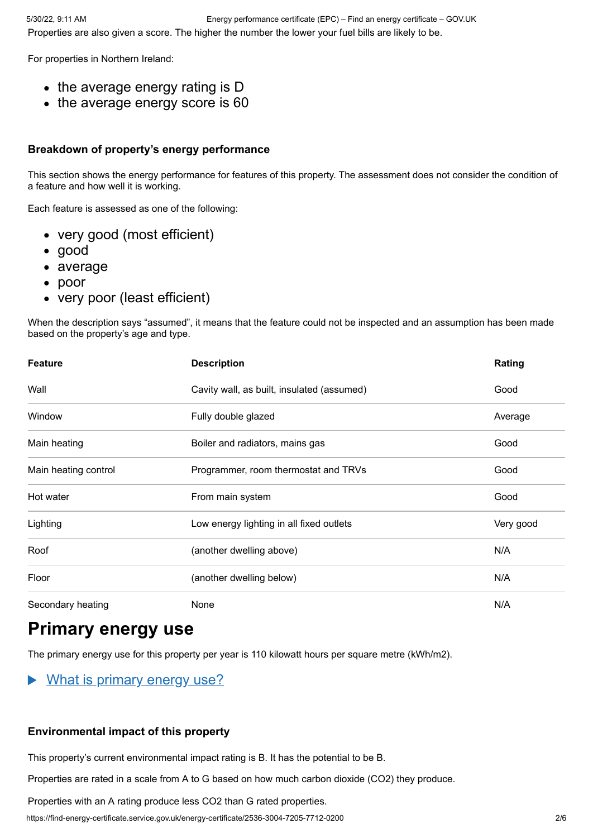For properties in Northern Ireland:

- the average energy rating is D
- the average energy score is 60

#### **Breakdown of property's energy performance**

This section shows the energy performance for features of this property. The assessment does not consider the condition of a feature and how well it is working.

Each feature is assessed as one of the following:

- very good (most efficient)
- good
- average
- poor
- very poor (least efficient)

When the description says "assumed", it means that the feature could not be inspected and an assumption has been made based on the property's age and type.

| <b>Feature</b>       | <b>Description</b>                         | Rating    |
|----------------------|--------------------------------------------|-----------|
| Wall                 | Cavity wall, as built, insulated (assumed) | Good      |
| Window               | Fully double glazed                        | Average   |
| Main heating         | Boiler and radiators, mains gas            | Good      |
| Main heating control | Programmer, room thermostat and TRVs       | Good      |
| Hot water            | From main system                           | Good      |
| Lighting             | Low energy lighting in all fixed outlets   | Very good |
| Roof                 | (another dwelling above)                   | N/A       |
| Floor                | (another dwelling below)                   | N/A       |
| Secondary heating    | None                                       | N/A       |

## **Primary energy use**

The primary energy use for this property per year is 110 kilowatt hours per square metre (kWh/m2).

#### $\blacktriangleright$ What is primary energy use?

#### **Environmental impact of this property**

This property's current environmental impact rating is B. It has the potential to be B.

Properties are rated in a scale from A to G based on how much carbon dioxide (CO2) they produce.

Properties with an A rating produce less CO2 than G rated properties.

https://find-energy-certificate.service.gov.uk/energy-certificate/2536-3004-7205-7712-0200 2/6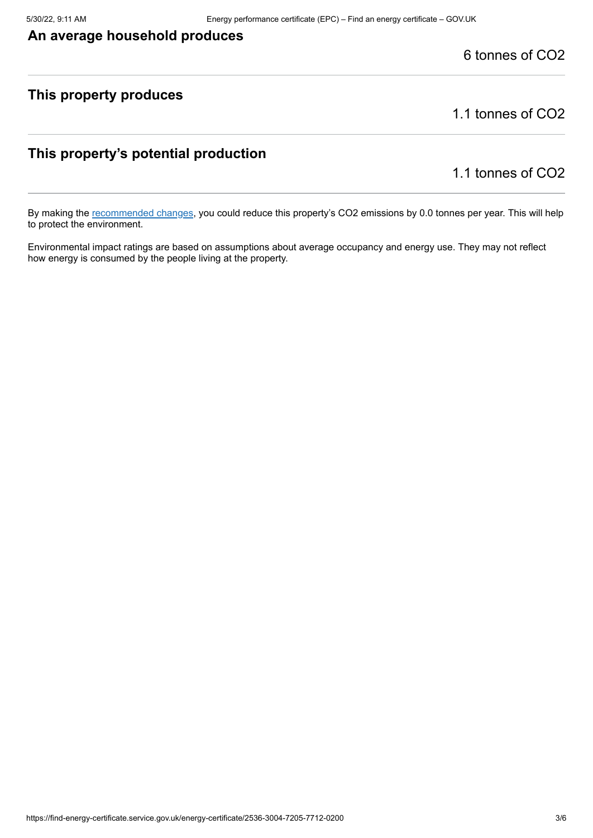#### **An average household produces**

6 tonnes of CO2

#### **This property produces**

1.1 tonnes of CO2

#### **This property's potential production**

1.1 tonnes of CO2

By making the [recommended changes](#page-3-0), you could reduce this property's CO2 emissions by 0.0 tonnes per year. This will help to protect the environment.

Environmental impact ratings are based on assumptions about average occupancy and energy use. They may not reflect how energy is consumed by the people living at the property.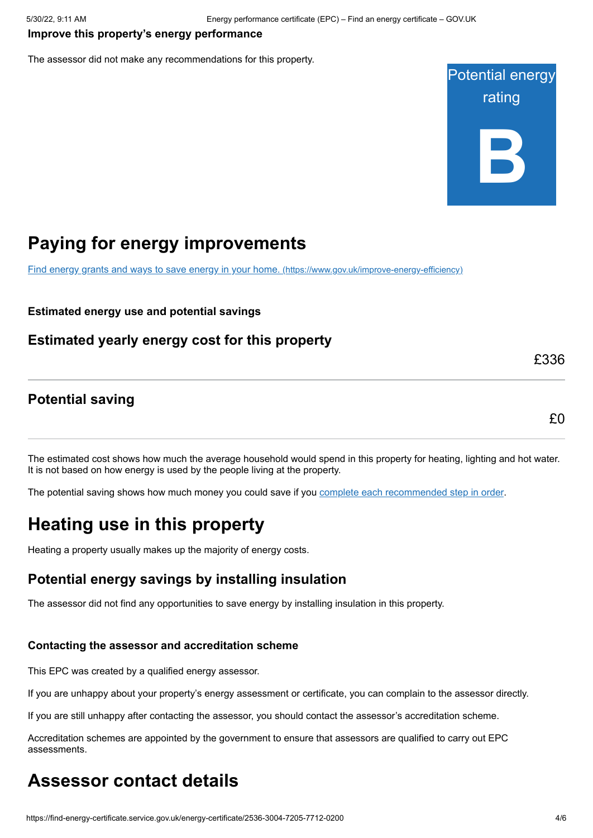#### <span id="page-3-0"></span>**Improve this property's energy performance**

The assessor did not make any recommendations for this property.



## **Paying for energy improvements**

[Find energy grants and ways to save energy in your home.](https://www.gov.uk/improve-energy-efficiency) (https://www.gov.uk/improve-energy-efficiency)

#### **Estimated energy use and potential savings**

#### **Estimated yearly energy cost for this property**

**Potential saving**

£336

## £0

The estimated cost shows how much the average household would spend in this property for heating, lighting and hot water. It is not based on how energy is used by the people living at the property.

The potential saving shows how much money you could save if you [complete each recommended step in order](#page-3-0).

## **Heating use in this property**

Heating a property usually makes up the majority of energy costs.

#### **Potential energy savings by installing insulation**

The assessor did not find any opportunities to save energy by installing insulation in this property.

#### **Contacting the assessor and accreditation scheme**

This EPC was created by a qualified energy assessor.

If you are unhappy about your property's energy assessment or certificate, you can complain to the assessor directly.

If you are still unhappy after contacting the assessor, you should contact the assessor's accreditation scheme.

Accreditation schemes are appointed by the government to ensure that assessors are qualified to carry out EPC assessments.

## **Assessor contact details**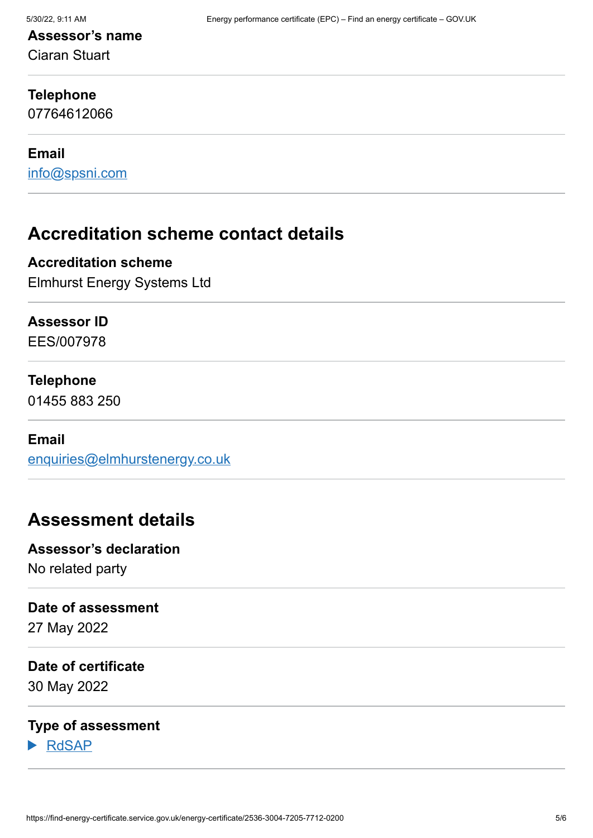## **Assessor's name**

Ciaran Stuart

#### **Telephone**

07764612066

#### **Email**

[info@spsni.com](mailto:info@spsni.com)

## **Accreditation scheme contact details**

#### **Accreditation scheme**

Elmhurst Energy Systems Ltd

#### **Assessor ID**

EES/007978

#### **Telephone**

01455 883 250

#### **Email**

[enquiries@elmhurstenergy.co.uk](mailto:enquiries@elmhurstenergy.co.uk)

## **Assessment details**

**Assessor's declaration** No related party

#### **Date of assessment**

27 May 2022

#### **Date of certificate**

30 May 2022

#### **Type of assessment**

RdSAP